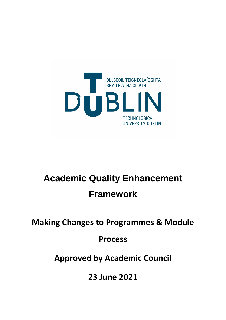

# **Academic Quality Enhancement Framework**

**Making Changes to Programmes & Module** 

**Process**

**Approved by Academic Council**

**23 June 2021**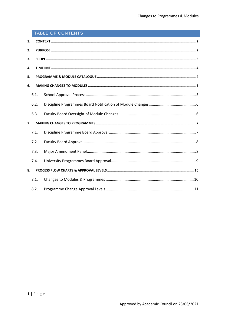# TABLE OF CONTENTS

| 1. |      |  |  |  |  |  |  |
|----|------|--|--|--|--|--|--|
| 2. |      |  |  |  |  |  |  |
| 3. |      |  |  |  |  |  |  |
| 4. |      |  |  |  |  |  |  |
|    | 5.   |  |  |  |  |  |  |
|    | 6.   |  |  |  |  |  |  |
|    | 6.1. |  |  |  |  |  |  |
|    | 6.2. |  |  |  |  |  |  |
|    | 6.3. |  |  |  |  |  |  |
| 7. |      |  |  |  |  |  |  |
|    | 7.1. |  |  |  |  |  |  |
|    | 7.2. |  |  |  |  |  |  |
|    | 7.3. |  |  |  |  |  |  |
|    | 7.4. |  |  |  |  |  |  |
| 8. |      |  |  |  |  |  |  |
|    | 8.1. |  |  |  |  |  |  |
|    | 8.2. |  |  |  |  |  |  |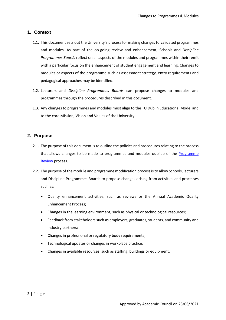# <span id="page-2-0"></span>**1. Context**

- 1.1. This document sets out the University's process for making changes to validated programmes and modules. As part of the on-going review and enhancement, Schools and *Discipline Programmes Boards* reflect on all aspects of the modules and programmes within their remit with a particular focus on the enhancement of student engagement and learning. Changes to modules or aspects of the programme such as assessment strategy, entry requirements and pedagogical approaches may be identified.
- 1.2. Lecturers and *Discipline Programmes Boards* can propose changes to modules and programmes through the procedures described in this document.
- 1.3. Any changes to programmes and modules must align to the TU Dublin Educational Model and to the core Mission, Vision and Values of the University.

# <span id="page-2-1"></span>**2. Purpose**

- 2.1. The purpose of this document is to outline the policies and procedures relating to the process that allows changes to be made to programmes and modules outside of the Programme Review process.
- 2.2. The purpose of the module and programme modification process is to allow Schools, lecturers and Discipline Programmes Boards to propose changes arising from activities and processes such as:
	- Quality enhancement activities, such as reviews or the Annual Academic Quality Enhancement Process;
	- Changes in the learning environment, such as physical or technological resources;
	- Feedback from stakeholders such as employers, graduates, students, and community and industry partners;
	- Changes in professional or regulatory body requirements;
	- Technological updates or changes in workplace practice;
	- Changes in available resources, such as staffing, buildings or equipment.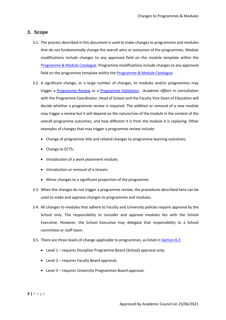# <span id="page-3-0"></span>**3. Scope**

- 3.1. The process described in this document is used to make changes to programmes and modules that do not fundamentally change the overall aims or outcomes of the programmes. Module modifications include changes to any approved field on the module template within the [Programme & Module Catalogue.](https://dit.akarisoftware.com/curriculum/) Programme modifications include changes to any approved field on the programme template within th[e Programme & Module Catalogue.](https://dit.akarisoftware.com/curriculum/)
- 3.2. A significant change, or a large number of changes, to modules and/or programmes may trigger a Programme Review or a Programme Validation. *Academic Affairs* in consultation with the Programme Coordinator, Head of School and the Faculty Vice-Dean of Education will decide whether a programme review is required. The addition or removal of a new module may trigger a review but it will depend on the nature/size of the module in the context of the overall programme outcomes, and how different it is from the module it is replacing. Other examples of changes that may trigger a programme review include:
	- Change of programme title and related changes to programme learning outcomes;
	- Change to ECTS;
	- Introduction of a work placement module;
	- Introduction or removal of a stream;
	- Minor changes to a significant proportion of the programme.
- 3.3. When the changes do not trigger a programme review, the procedures described here can be used to make and approve changes to programmes and modules.
- 3.4. All changes to modules that adhere to Faculty and University policies require approval by the School only. The responsibility to consider and approve modules lies with the School Executive. However, the School Executive may delegate that responsibility to a School committee or staff team.
- 3.5. There are three levels of change applicable to programmes, as listed i[n Section 8.2:](#page-11-0)
	- Level 1 requires Discipline Programme Board (School) approval only;
	- Level 2 requires Faculty Board approval;
	- Level 3 requires University Programmes Board approval.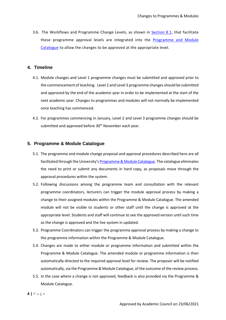3.6. The Workflows and Programme Change Levels, as shown in [Section 8.1,](#page-10-1) that facilitate these programme approval levels are integrated into the [Programme and Module](https://dit.akarisoftware.com/curriculum/)  [Catalogue](https://dit.akarisoftware.com/curriculum/) to allow the changes to be approved at the appropriate level.

## <span id="page-4-0"></span>**4. Timeline**

- 4.1. Module changes and Level 1 programme changes must be submitted and approved prior to the commencement of teaching. Level 2 and Level 3 programme changes should be submitted and approved by the end of the academic year in order to be implemented at the start of the next academic year. Changes to programmes and modules will not normally be implemented once teaching has commenced.
- 4.2. For programmes commencing in January, Level 2 and Level 3 programme changes should be submitted and approved before 30<sup>th</sup> November each year.

# <span id="page-4-1"></span>**5. Programme & Module Catalogue**

- 5.1. The programme and module change proposal and approval procedures described here are all facilitated through the University's [Programme & Module Catalogue.](https://dit.akarisoftware.com/curriculum/) The catalogue eliminates the need to print or submit any documents in hard copy, as proposals move through the approval procedures within the system.
- 5.2. Following discussions among the programme team and consultation with the relevant programme coordinators, lecturers can trigger the module approval process by making a change to their assigned modules within the Programme & Module Catalogue. The amended module will not be visible to students or other staff until the change is approved at the appropriate level. Students and staff will continue to see the approved version until such time as the change is approved and the live system in updated.
- 5.3. Programme Coordinators can trigger the programme approval process by making a change to the programme information within the Programme & Module Catalogue.
- 5.4. Changes are made to either module or programme information and submitted within the Programme & Module Catalogue. The amended module or programme information is then automatically directed to the required approval level for review. The proposer will be notified automatically, via the Programme & Module Catalogue, of the outcome of the review process.
- 5.5. In the case where a change is not approved, feedback is also provided via the Programme & Module Catalogue.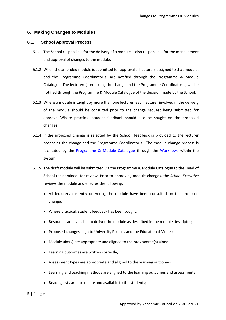### <span id="page-5-0"></span>**6. Making Changes to Modules**

#### **6.1. School Approval Process**

- <span id="page-5-1"></span>6.1.1 The School responsible for the delivery of a module is also responsible for the management and approval of changes to the module.
- 6.1.2 When the amended module is submitted for approval all lecturers assigned to that module, and the Programme Coordinator(s) are notified through the Programme & Module Catalogue. The lecturer(s) proposing the change and the Programme Coordinator(s) will be notified through the Programme & Module Catalogue of the decision made by the School.
- 6.1.3 Where a module is taught by more than one lecturer, each lecturer involved in the delivery of the module should be consulted prior to the change request being submitted for approval. Where practical, student feedback should also be sought on the proposed changes.
- 6.1.4 If the proposed change is rejected by the School, feedback is provided to the lecturer proposing the change and the Programme Coordinator(s). The module change process is facilitated by the [Programme & Module Catalogue](https://dit.akarisoftware.com/curriculum/) through the Workflows within the system.
- 6.1.5 The draft module will be submitted via the Programme & Module Catalogue to the Head of School (or nominee) for review. Prior to approving module changes, the *School Executive* reviews the module and ensures the following:
	- All lecturers currently delivering the module have been consulted on the proposed change;
	- Where practical, student feedback has been sought;
	- Resources are available to deliver the module as described in the module descriptor;
	- Proposed changes align to University Policies and the Educational Model;
	- Module aim(s) are appropriate and aligned to the programme(s) aims;
	- Learning outcomes are written correctly;
	- Assessment types are appropriate and aligned to the learning outcomes;
	- Learning and teaching methods are aligned to the learning outcomes and assessments;
	- Reading lists are up to date and available to the students;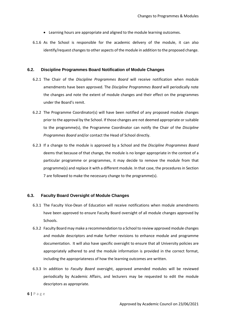- Learning hours are appropriate and aligned to the module learning outcomes.
- 6.1.6 As the School is responsible for the academic delivery of the module, it can also identify/request changes to other aspects of the module in addition to the proposed change.

#### <span id="page-6-0"></span>**6.2. Discipline Programmes Board Notification of Module Changes**

- 6.2.1 The Chair of the *Discipline Programmes Board* will receive notification when module amendments have been approved. The *Discipline Programmes Board* will periodically note the changes and note the extent of module changes and their effect on the programmes under the Board's remit.
- 6.2.2 The Programme Coordinator(s) will have been notified of any proposed module changes prior to the approval by the School. If those changes are not deemed appropriate or suitable to the programme(s), the Programme Coordinator can notify the Chair of the *Discipline Programmes Board* and/or contact the Head of School directly.
- 6.2.3 If a change to the module is approved by a School and the *Discipline Programmes Board* deems that because of that change, the module is no longer appropriate in the context of a particular programme or programmes, it may decide to remove the module from that programme(s) and replace it with a different module. In that case, the procedures in Section 7 are followed to make the necessary change to the programme(s).

#### <span id="page-6-1"></span>**6.3. Faculty Board Oversight of Module Changes**

- 6.3.1 The Faculty Vice-Dean of Education will receive notifications when module amendments have been approved to ensure Faculty Board oversight of all module changes approved by Schools.
- 6.3.2 Faculty Board may make a recommendation to a School to review approved module changes and module descriptors and make further revisions to enhance module and programme documentation. It will also have specific oversight to ensure that all University policies are appropriately adhered to and the module information is provided in the correct format, including the appropriateness of how the learning outcomes are written.
- 6.3.3 In addition to *Faculty Board* oversight, approved amended modules will be reviewed periodically by Academic Affairs, and lecturers may be requested to edit the module descriptors as appropriate.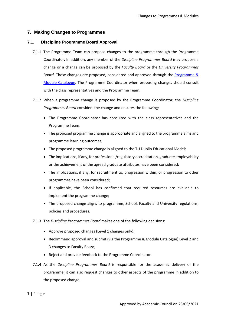## <span id="page-7-0"></span>**7. Making Changes to Programmes**

#### <span id="page-7-1"></span>**7.1. Discipline Programme Board Approval**

- 7.1.1 The Programme Team can propose changes to the programme through the Programme Coordinator. In addition, any member of the *Discipline Programmes Board* may propose a change or a change can be proposed by the *Faculty Board* or the *University Programmes Board*. These changes are proposed, considered and approved through the [Programme &](https://dit.akarisoftware.com/curriculum/)  [Module Catalogue.](https://dit.akarisoftware.com/curriculum/) The Programme Coordinator when proposing changes should consult with the class representatives and the Programme Team.
- 7.1.2 When a programme change is proposed by the Programme Coordinator, the *Discipline Programmes Board* considers the change and ensures the following:
	- The Programme Coordinator has consulted with the class representatives and the Programme Team;
	- The proposed programme change is appropriate and aligned to the programme aims and programme learning outcomes;
	- The proposed programme change is aligned to the TU Dublin Educational Model;
	- The implications, if any, for professional/regulatory accreditation, graduate employability or the achievement of the agreed graduate attributes have been considered;
	- The implications, if any, for recruitment to, progression within, or progression to other programmes have been considered;
	- If applicable, the School has confirmed that required resources are available to implement the programme change;
	- The proposed change aligns to programme, School, Faculty and University regulations, policies and procedures.
- 7.1.3 The *Discipline Programmes Board* makes one of the following decisions:
	- Approve proposed changes (Level 1 changes only);
	- Recommend approval and submit (via the Programme & Module Catalogue) Level 2 and 3 changes to Faculty Board;
	- Reject and provide feedback to the Programme Coordinator.
- 7.1.4 As the *Discipline Programmes Board* is responsible for the academic delivery of the programme, it can also request changes to other aspects of the programme in addition to the proposed change.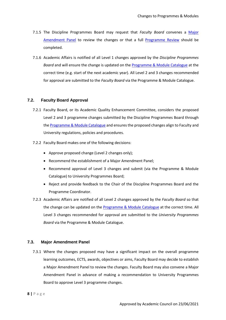- 7.1.5 The Discipline Programmes Board may request that *Faculty Board* convenes a Major Amendment Panel to review the changes or that a full Programme Review should be completed.
- 7.1.6 Academic Affairs is notified of all Level 1 changes approved by the *Discipline Programmes Board* and will ensure the change is updated on the Programme & Module Catalogue at the correct time (e.g. start of the next academic year). All Level 2 and 3 changes recommended for approval are submitted to the *Faculty Board* via the Programme & Module Catalogue.

#### <span id="page-8-0"></span>**7.2. Faculty Board Approval**

- 7.2.1 Faculty Board, or its Academic Quality Enhancement Committee, considers the proposed Level 2 and 3 programme changes submitted by the Discipline Programmes Board through the Programme & Module Catalogue and ensures the proposed changes align to Faculty and University regulations, policies and procedures.
- 7.2.2 Faculty Board makes one of the following decisions:
	- Approve proposed change (Level 2 changes only);
	- Recommend the establishment of a Major Amendment Panel;
	- Recommend approval of Level 3 changes and submit (via the Programme & Module Catalogue) to University Programmes Board;
	- Reject and provide feedback to the Chair of the Discipline Programmes Board and the Programme Coordinator.
- 7.2.3 Academic Affairs are notified of all Level 2 changes approved by the *Faculty Board* so that the change can be updated on the Programme & Module Catalogue at the correct time. All Level 3 changes recommended for approval are submitted to the *University Programmes Board* via the Programme & Module Catalogue.

#### <span id="page-8-1"></span>**7.3. Major Amendment Panel**

7.3.1 Where the changes proposed may have a significant impact on the overall programme learning outcomes, ECTS, awards, objectives or aims, Faculty Board may decide to establish a Major Amendment Panel to review the changes. Faculty Board may also convene a Major Amendment Panel in advance of making a recommendation to University Programmes Board to approve Level 3 programme changes.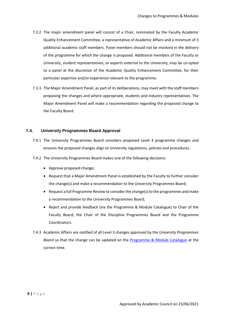- 7.3.2 The major amendment panel will consist of a Chair, nominated by the Faculty Academic Quality Enhancement Committee, a representative of Academic Affairs and a minimum of 3 additional academic staff members. Panel members should not be involved in the delivery of the programme for which the change is proposed. Additional members of the Faculty or University, student representatives, or experts external to the University, may be co-opted to a panel at the discretion of the Academic Quality Enhancement Committee, for their particular expertise and/or experience relevant to the programme.
- 7.3.3 The Major Amendment Panel, as part of its deliberations, may meet with the staff members proposing the changes and where appropriate, students and industry representatives. The Major Amendment Panel will make a recommendation regarding the proposed change to the Faculty Board.

# <span id="page-9-0"></span>**7.4. University Programmes Board Approval**

- 7.4.1 The University Programmes Board considers proposed Level 3 programme changes and ensures the proposed changes align to University regulations, policies and procedures.
- 7.4.2 The University Programmes Board makes one of the following decisions:
	- Approve proposed change;
	- Request that a Major Amendment Panel is established by the Faculty to further consider the change(s) and make a recommendation to the University Programmes Board;
	- Request a full Programme Review to consider the change(s) to the programmes and make a recommendation to the University Programmes Board;
	- Reject and provide feedback (via the Programme & Module Catalogue) to Chair of the Faculty Board, the Chair of the Discipline Programmes Board and the Programme Coordinators.
- 7.4.3 Academic Affairs are notified of all Level 3 changes approved by the *University Programmes Board* so that the change can be updated on the Programme & Module Catalogue at the correct time.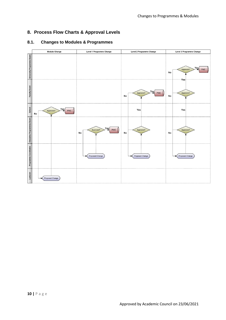# <span id="page-10-0"></span>**8. Process Flow Charts & Approval Levels**

# <span id="page-10-1"></span>**8.1. Changes to Modules & Programmes**

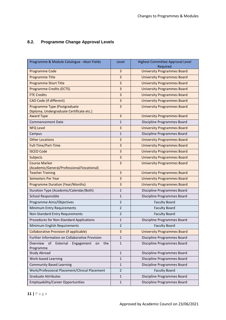# <span id="page-11-0"></span>**8.2. Programme Change Approval Levels**

| Programme & Module Catalogue - Akari Fields                              | Level          | <b>Highest Committee Approval Level</b><br>Required |
|--------------------------------------------------------------------------|----------------|-----------------------------------------------------|
| <b>Programme Code</b>                                                    | 3              | <b>University Programmes Board</b>                  |
| Programme Title                                                          | 3              | <b>University Programmes Board</b>                  |
| <b>Programme Short Title</b>                                             | 3              | <b>University Programmes Board</b>                  |
| <b>Programme Credits (ECTS)</b>                                          | 3              | <b>University Programmes Board</b>                  |
| <b>FTE Credits</b>                                                       | 3              | <b>University Programmes Board</b>                  |
| <b>CAO Code (if different)</b>                                           | 3              | <b>University Programmes Board</b>                  |
| Programme Type (Postgraduate<br>Diploma, Undergraduate Certificate etc.) | 3              | <b>University Programmes Board</b>                  |
| <b>Award Type</b>                                                        | 3              | <b>University Programmes Board</b>                  |
| <b>Commencement Date</b>                                                 | $\mathbf{1}$   | Discipline Programmes Board                         |
| <b>NFQ Level</b>                                                         | 3              | <b>University Programmes Board</b>                  |
| Campus                                                                   | $\mathbf 1$    | Discipline Programmes Board                         |
| <b>Other Locations</b>                                                   | 3              | <b>University Programmes Board</b>                  |
| Full-Time/Part-Time                                                      | 3              | <b>University Programmes Board</b>                  |
| <b>ISCED Code</b>                                                        | 3              | <b>University Programmes Board</b>                  |
| Subjects                                                                 | 3              | <b>University Programmes Board</b>                  |
| <b>Course Marker</b><br>(Academic/General/Professional/Vocational)       | $\overline{3}$ | <b>University Programmes Board</b>                  |
| <b>Teacher Training</b>                                                  | 3              | <b>University Programmes Board</b>                  |
| <b>Semesters Per Year</b>                                                | 3              | <b>University Programmes Board</b>                  |
| <b>Programme Duration (Year/Months)</b>                                  | 3              | <b>University Programmes Board</b>                  |
| Duration Type (Academic/Calendar/Both)                                   | $\mathbf{1}$   | Discipline Programmes Board                         |
| <b>School Responsible</b>                                                | $\mathbf{1}$   | Discipline Programmes Board                         |
| Programme Aims/Objectives                                                | $\overline{2}$ | <b>Faculty Board</b>                                |
| Minimum Entry Requirements                                               | $\overline{2}$ | <b>Faculty Board</b>                                |
| Non-Standard Entry Requirements                                          | $\overline{2}$ | <b>Faculty Board</b>                                |
| Procedures for Non-Standard Applications                                 | $\mathbf{1}$   | Discipline Programmes Board                         |
| Minimum English Requirements                                             | $\overline{2}$ | <b>Faculty Board</b>                                |
| <b>Collaborative Provision (if applicable)</b>                           | 3              | <b>University Programmes Board</b>                  |
| Further Information on Collaborative Provision                           | 1              | Discipline Programmes Board                         |
| Overview<br>of<br>External<br>the<br>Engagement<br>on<br>Programme       | $\mathbf{1}$   | Discipline Programmes Board                         |
| <b>Study Abroad</b>                                                      | $\mathbf{1}$   | Discipline Programmes Board                         |
| <b>Work-based Learning</b>                                               | $\mathbf{1}$   | Discipline Programmes Board                         |
| <b>Community Based Learning</b>                                          | $\mathbf{1}$   | Discipline Programmes Board                         |
| Work/Professional Placement/Clinical Placement                           | $\overline{2}$ | <b>Faculty Board</b>                                |
| <b>Graduate Attributes</b>                                               | $\mathbf 1$    | Discipline Programmes Board                         |
| <b>Employability/Career Opportunities</b>                                | $\mathbf{1}$   | Discipline Programmes Board                         |